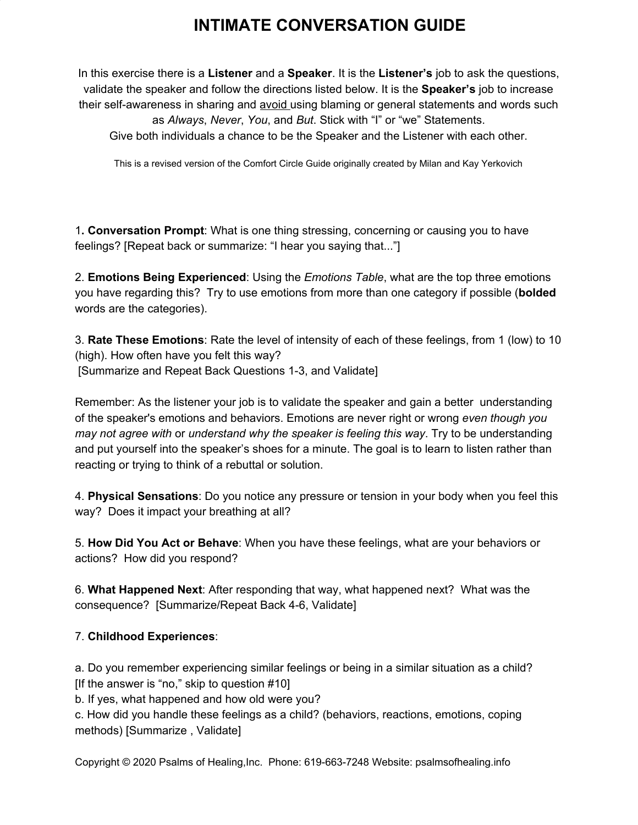## **INTIMATE CONVERSATION GUIDE**

In this exercise there is a **Listener** and a **Speaker**. It is the **Listener's** job to ask the questions, validate the speaker and follow the directions listed below. It is the **Speaker's** job to increase their self-awareness in sharing and avoid using blaming or general statements and words such as *Always*, *Never*, *You*, and *But*. Stick with "I" or "we" Statements. Give both individuals a chance to be the Speaker and the Listener with each other.

This is a revised version of the Comfort Circle Guide originally created by Milan and Kay Yerkovich

1**. Conversation Prompt**: What is one thing stressing, concerning or causing you to have feelings? [Repeat back or summarize: "I hear you saying that..."]

2. **Emotions Being Experienced**: Using the *Emotions Table*, what are the top three emotions you have regarding this? Try to use emotions from more than one category if possible (**bolded** words are the categories).

3. **Rate These Emotions**: Rate the level of intensity of each of these feelings, from 1 (low) to 10 (high). How often have you felt this way? [Summarize and Repeat Back Questions 1-3, and Validate]

Remember: As the listener your job is to validate the speaker and gain a better understanding of the speaker's emotions and behaviors. Emotions are never right or wrong *even though you may not agree with* or *understand why the speaker is feeling this way*. Try to be understanding and put yourself into the speaker's shoes for a minute. The goal is to learn to listen rather than reacting or trying to think of a rebuttal or solution.

4. **Physical Sensations**: Do you notice any pressure or tension in your body when you feel this way? Does it impact your breathing at all?

5. **How Did You Act or Behave**: When you have these feelings, what are your behaviors or actions? How did you respond?

6. **What Happened Next**: After responding that way, what happened next? What was the consequence? [Summarize/Repeat Back 4-6, Validate]

## 7. **Childhood Experiences**:

a. Do you remember experiencing similar feelings or being in a similar situation as a child? [If the answer is "no," skip to question #10]

b. If yes, what happened and how old were you?

c. How did you handle these feelings as a child? (behaviors, reactions, emotions, coping methods) [Summarize , Validate]

Copyright © 2020 Psalms of Healing,Inc. Phone: 619-663-7248 Website: psalmsofhealing.info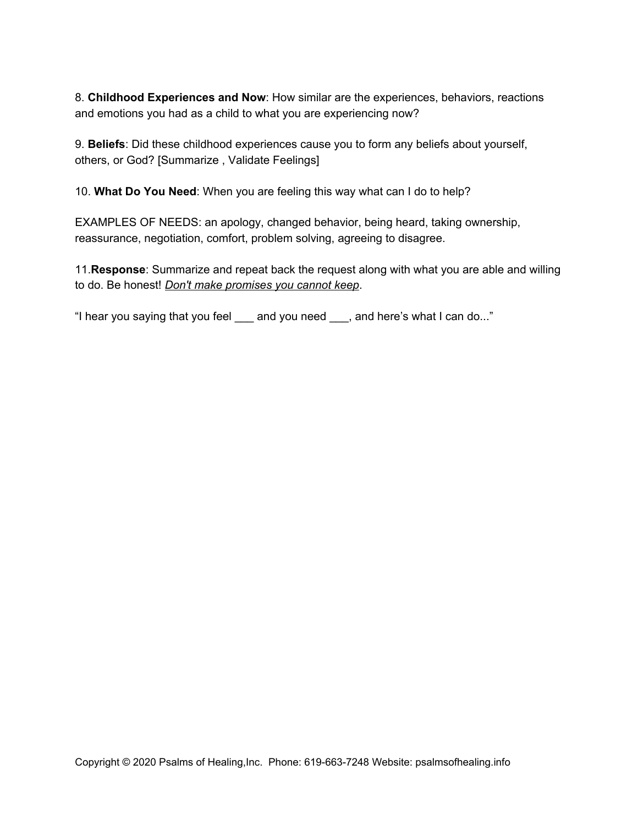8. **Childhood Experiences and Now**: How similar are the experiences, behaviors, reactions and emotions you had as a child to what you are experiencing now?

9. **Beliefs**: Did these childhood experiences cause you to form any beliefs about yourself, others, or God? [Summarize , Validate Feelings]

10. **What Do You Need**: When you are feeling this way what can I do to help?

EXAMPLES OF NEEDS: an apology, changed behavior, being heard, taking ownership, reassurance, negotiation, comfort, problem solving, agreeing to disagree.

11.**Response**: Summarize and repeat back the request along with what you are able and willing to do. Be honest! *Don't make promises you cannot keep*.

"I hear you saying that you feel \_\_\_ and you need \_\_\_, and here's what I can do..."